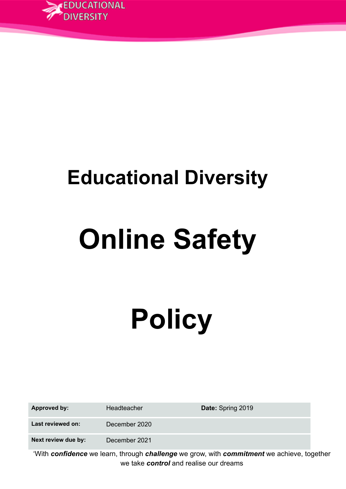

# **Educational Diversity**

# **Online Safety**

# **Policy**

| <b>Approved by:</b> | Headteacher   | Date: Spring 2019                                                                                              |
|---------------------|---------------|----------------------------------------------------------------------------------------------------------------|
| Last reviewed on:   | December 2020 |                                                                                                                |
| Next review due by: | December 2021 |                                                                                                                |
|                     |               | -0.000 decembrary contracts in the contract of the contract of the contract of the contract of the contract of |

'With *confidence* we learn, through *challenge* we grow, with *commitment* we achieve, together we take *control* and realise our dreams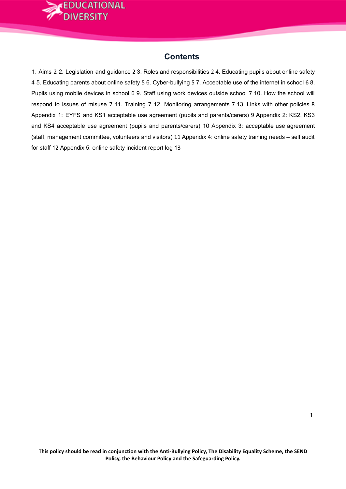

# **Contents**

1. Aims 2 2. Legislation and guidance 2 3. Roles and responsibilities 2 4. Educating pupils about online safety 4 5. Educating parents about online safety 5 6. Cyber-bullying 5 7. Acceptable use of the internet in school 6 8. Pupils using mobile devices in school 6 9. Staff using work devices outside school 7 10. How the school will respond to issues of misuse 7 11. Training 7 12. Monitoring arrangements 7 13. Links with other policies 8 Appendix 1: EYFS and KS1 acceptable use agreement (pupils and parents/carers) 9 Appendix 2: KS2, KS3 and KS4 acceptable use agreement (pupils and parents/carers) 10 Appendix 3: acceptable use agreement (staff, management committee, volunteers and visitors) 11 Appendix 4: online safety training needs – self audit for staff 12 Appendix 5: online safety incident report log 13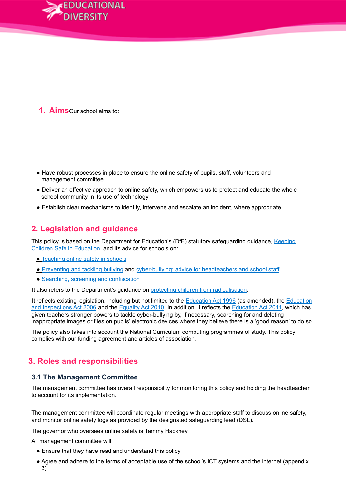

**1. Aims**Our school aims to:

- Have robust processes in place to ensure the online safety of pupils, staff, volunteers and management committee
- Deliver an effective approach to online safety, which empowers us to protect and educate the whole school community in its use of technology
- Establish clear mechanisms to identify, intervene and escalate an incident, where appropriate

# **2. Legislation and guidance**

This policy is based on the Department for Education's (DfE) statutory safeguarding guidance, Keeping Children Safe in Education, and its advice for schools on:

- Teaching online safety in schools
- Preventing and tackling bullying and cyber-bullying: advice for headteachers and school staff
- Searching, screening and confiscation

It also refers to the Department's guidance on protecting children from radicalisation.

It reflects existing legislation, including but not limited to the **Education Act 1996** (as amended), the **Education** and Inspections Act 2006 and the Equality Act 2010. In addition, it reflects the Education Act 2011, which has given teachers stronger powers to tackle cyber-bullying by, if necessary, searching for and deleting inappropriate images or files on pupils' electronic devices where they believe there is a 'good reason' to do so.

The policy also takes into account the National Curriculum computing programmes of study. This policy complies with our funding agreement and articles of association.

# **3. Roles and responsibilities**

#### **3.1 The Management Committee**

The management committee has overall responsibility for monitoring this policy and holding the headteacher to account for its implementation.

The management committee will coordinate regular meetings with appropriate staff to discuss online safety, and monitor online safety logs as provided by the designated safeguarding lead (DSL).

The governor who oversees online safety is Tammy Hackney

All management committee will:

- Ensure that they have read and understand this policy
- Agree and adhere to the terms of acceptable use of the school's ICT systems and the internet (appendix 3)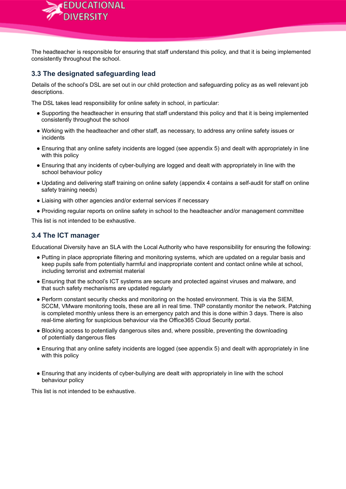

**3.2 The headteacher**

The headteacher is responsible for ensuring that staff understand this policy, and that it is being implemented consistently throughout the school.

#### **3.3 The designated safeguarding lead**

Details of the school's DSL are set out in our child protection and safeguarding policy as as well relevant job descriptions.

The DSL takes lead responsibility for online safety in school, in particular:

- Supporting the headteacher in ensuring that staff understand this policy and that it is being implemented consistently throughout the school
- Working with the headteacher and other staff, as necessary, to address any online safety issues or incidents
- Ensuring that any online safety incidents are logged (see appendix 5) and dealt with appropriately in line with this policy
- Ensuring that any incidents of cyber-bullying are logged and dealt with appropriately in line with the school behaviour policy
- Updating and delivering staff training on online safety (appendix 4 contains a self-audit for staff on online safety training needs)
- Liaising with other agencies and/or external services if necessary
- Providing regular reports on online safety in school to the headteacher and/or management committee

This list is not intended to be exhaustive.

#### **3.4 The ICT manager**

Educational Diversity have an SLA with the Local Authority who have responsibility for ensuring the following:

- Putting in place appropriate filtering and monitoring systems, which are updated on a regular basis and keep pupils safe from potentially harmful and inappropriate content and contact online while at school, including terrorist and extremist material
- Ensuring that the school's ICT systems are secure and protected against viruses and malware, and that such safety mechanisms are updated regularly
- Perform constant security checks and monitoring on the hosted environment. This is via the SIEM, SCCM, VMware monitoring tools, these are all in real time. TNP constantly monitor the network. Patching is completed monthly unless there is an emergency patch and this is done within 3 days. There is also real-time alerting for suspicious behaviour via the Office365 Cloud Security portal.
- Blocking access to potentially dangerous sites and, where possible, preventing the downloading of potentially dangerous files
- Ensuring that any online safety incidents are logged (see appendix 5) and dealt with appropriately in line with this policy
- Ensuring that any incidents of cyber-bullying are dealt with appropriately in line with the school behaviour policy

This list is not intended to be exhaustive.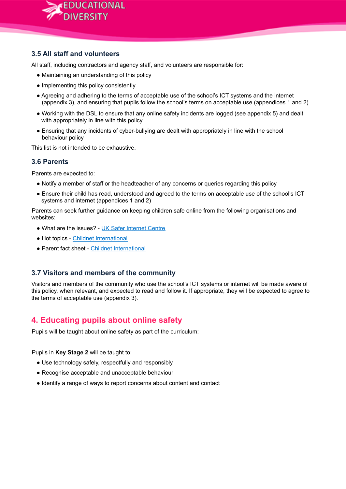

#### **3.5 All staff and volunteers**

All staff, including contractors and agency staff, and volunteers are responsible for:

- Maintaining an understanding of this policy
- Implementing this policy consistently
- Agreeing and adhering to the terms of acceptable use of the school's ICT systems and the internet (appendix 3), and ensuring that pupils follow the school's terms on acceptable use (appendices 1 and 2)
- Working with the DSL to ensure that any online safety incidents are logged (see appendix 5) and dealt with appropriately in line with this policy
- Ensuring that any incidents of cyber-bullying are dealt with appropriately in line with the school behaviour policy

This list is not intended to be exhaustive.

#### **3.6 Parents**

Parents are expected to:

- Notify a member of staff or the headteacher of any concerns or queries regarding this policy
- Ensure their child has read, understood and agreed to the terms on acceptable use of the school's ICT systems and internet (appendices 1 and 2)

Parents can seek further guidance on keeping children safe online from the following organisations and websites:

- What are the issues? UK Safer Internet Centre
- Hot topics Childnet International
- Parent fact sheet Childnet International

#### **3.7 Visitors and members of the community**

Visitors and members of the community who use the school's ICT systems or internet will be made aware of this policy, when relevant, and expected to read and follow it. If appropriate, they will be expected to agree to the terms of acceptable use (appendix 3).

# **4. Educating pupils about online safety**

Pupils will be taught about online safety as part of the curriculum:

Pupils in **Key Stage 2** will be taught to:

- Use technology safely, respectfully and responsibly
- Recognise acceptable and unacceptable behaviour
- Identify a range of ways to report concerns about content and contact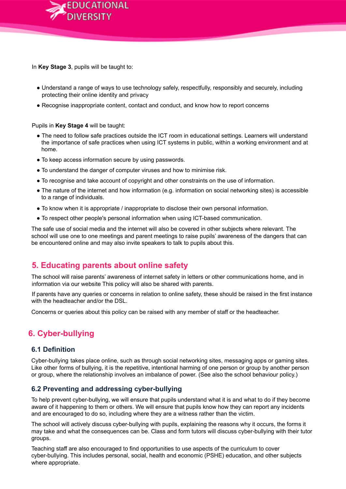

In **Key Stage 3**, pupils will be taught to:

- Understand a range of ways to use technology safely, respectfully, responsibly and securely, including protecting their online identity and privacy
- Recognise inappropriate content, contact and conduct, and know how to report concerns

Pupils in **Key Stage 4** will be taught:

- The need to follow safe practices outside the ICT room in educational settings. Learners will understand the importance of safe practices when using ICT systems in public, within a working environment and at home.
- To keep access information secure by using passwords.
- To understand the danger of computer viruses and how to minimise risk.
- To recognise and take account of copyright and other constraints on the use of information.
- The nature of the internet and how information (e.g. information on social networking sites) is accessible to a range of individuals.
- To know when it is appropriate / inappropriate to disclose their own personal information.
- To respect other people's personal information when using ICT-based communication.

The safe use of social media and the internet will also be covered in other subjects where relevant. The school will use one to one meetings and parent meetings to raise pupils' awareness of the dangers that can be encountered online and may also invite speakers to talk to pupils about this.

# **5. Educating parents about online safety**

The school will raise parents' awareness of internet safety in letters or other communications home, and in information via our website This policy will also be shared with parents.

If parents have any queries or concerns in relation to online safety, these should be raised in the first instance with the headteacher and/or the DSL.

Concerns or queries about this policy can be raised with any member of staff or the headteacher.

# **6. Cyber-bullying**

#### **6.1 Definition**

Cyber-bullying takes place online, such as through social networking sites, messaging apps or gaming sites. Like other forms of bullying, it is the repetitive, intentional harming of one person or group by another person or group, where the relationship involves an imbalance of power. (See also the school behaviour policy.)

#### **6.2 Preventing and addressing cyber-bullying**

To help prevent cyber-bullying, we will ensure that pupils understand what it is and what to do if they become aware of it happening to them or others. We will ensure that pupils know how they can report any incidents and are encouraged to do so, including where they are a witness rather than the victim.

The school will actively discuss cyber-bullying with pupils, explaining the reasons why it occurs, the forms it may take and what the consequences can be. Class and form tutors will discuss cyber-bullying with their tutor groups.

Teaching staff are also encouraged to find opportunities to use aspects of the curriculum to cover cyber-bullying. This includes personal, social, health and economic (PSHE) education, and other subjects where appropriate.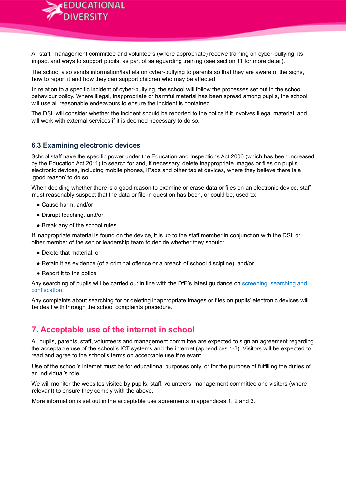

All staff, management committee and volunteers (where appropriate) receive training on cyber-bullying, its impact and ways to support pupils, as part of safeguarding training (see section 11 for more detail).

The school also sends information/leaflets on cyber-bullying to parents so that they are aware of the signs, how to report it and how they can support children who may be affected.

In relation to a specific incident of cyber-bullying, the school will follow the processes set out in the school behaviour policy. Where illegal, inappropriate or harmful material has been spread among pupils, the school will use all reasonable endeavours to ensure the incident is contained.

The DSL will consider whether the incident should be reported to the police if it involves illegal material, and will work with external services if it is deemed necessary to do so.

#### **6.3 Examining electronic devices**

School staff have the specific power under the Education and Inspections Act 2006 (which has been increased by the Education Act 2011) to search for and, if necessary, delete inappropriate images or files on pupils' electronic devices, including mobile phones, iPads and other tablet devices, where they believe there is a 'good reason' to do so.

When deciding whether there is a good reason to examine or erase data or files on an electronic device, staff must reasonably suspect that the data or file in question has been, or could be, used to:

- Cause harm, and/or
- Disrupt teaching, and/or
- Break any of the school rules

If inappropriate material is found on the device, it is up to the staff member in conjunction with the DSL or other member of the senior leadership team to decide whether they should:

- Delete that material, or
- Retain it as evidence (of a criminal offence or a breach of school discipline), and/or
- Report it to the police

Any searching of pupils will be carried out in line with the DfE's latest guidance on screening, searching and confiscation.

Any complaints about searching for or deleting inappropriate images or files on pupils' electronic devices will be dealt with through the school complaints procedure.

# **7. Acceptable use of the internet in school**

All pupils, parents, staff, volunteers and management committee are expected to sign an agreement regarding the acceptable use of the school's ICT systems and the internet (appendices 1-3). Visitors will be expected to read and agree to the school's terms on acceptable use if relevant.

Use of the school's internet must be for educational purposes only, or for the purpose of fulfilling the duties of an individual's role.

We will monitor the websites visited by pupils, staff, volunteers, management committee and visitors (where relevant) to ensure they comply with the above.

More information is set out in the acceptable use agreements in appendices 1, 2 and 3.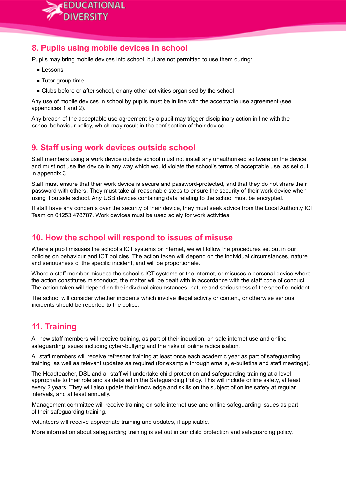

### **8. Pupils using mobile devices in school**

Pupils may bring mobile devices into school, but are not permitted to use them during:

- Lessons
- Tutor group time
- Clubs before or after school, or any other activities organised by the school

Any use of mobile devices in school by pupils must be in line with the acceptable use agreement (see appendices 1 and 2).

Any breach of the acceptable use agreement by a pupil may trigger disciplinary action in line with the school behaviour policy, which may result in the confiscation of their device.

# **9. Staff using work devices outside school**

Staff members using a work device outside school must not install any unauthorised software on the device and must not use the device in any way which would violate the school's terms of acceptable use, as set out in appendix 3.

Staff must ensure that their work device is secure and password-protected, and that they do not share their password with others. They must take all reasonable steps to ensure the security of their work device when using it outside school. Any USB devices containing data relating to the school must be encrypted.

If staff have any concerns over the security of their device, they must seek advice from the Local Authority ICT Team on 01253 478787. Work devices must be used solely for work activities.

#### **10. How the school will respond to issues of misuse**

Where a pupil misuses the school's ICT systems or internet, we will follow the procedures set out in our policies on behaviour and ICT policies. The action taken will depend on the individual circumstances, nature and seriousness of the specific incident, and will be proportionate.

Where a staff member misuses the school's ICT systems or the internet, or misuses a personal device where the action constitutes misconduct, the matter will be dealt with in accordance with the staff code of conduct. The action taken will depend on the individual circumstances, nature and seriousness of the specific incident.

The school will consider whether incidents which involve illegal activity or content, or otherwise serious incidents should be reported to the police.

# **11. Training**

All new staff members will receive training, as part of their induction, on safe internet use and online safeguarding issues including cyber-bullying and the risks of online radicalisation.

All staff members will receive refresher training at least once each academic year as part of safeguarding training, as well as relevant updates as required (for example through emails, e-bulletins and staff meetings).

The Headteacher, DSL and all staff will undertake child protection and safeguarding training at a level appropriate to their role and as detailed in the Safeguarding Policy. This will include online safety, at least every 2 years. They will also update their knowledge and skills on the subject of online safety at regular intervals, and at least annually.

Management committee will receive training on safe internet use and online safeguarding issues as part of their safeguarding training.

Volunteers will receive appropriate training and updates, if applicable.

More information about safeguarding training is set out in our child protection and safeguarding policy.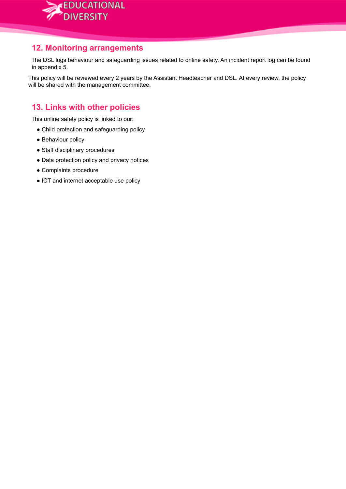

### **12. Monitoring arrangements**

The DSL logs behaviour and safeguarding issues related to online safety. An incident report log can be found in appendix 5.

This policy will be reviewed every 2 years by the Assistant Headteacher and DSL. At every review, the policy will be shared with the management committee.

# **13. Links with other policies**

This online safety policy is linked to our:

- Child protection and safeguarding policy
- Behaviour policy
- Staff disciplinary procedures
- Data protection policy and privacy notices
- Complaints procedure
- ICT and internet acceptable use policy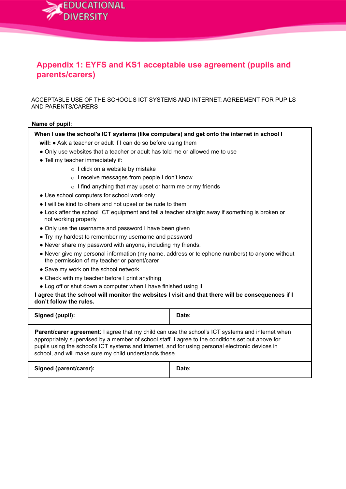

# **Appendix 1: EYFS and KS1 acceptable use agreement (pupils and parents/carers)**

ACCEPTABLE USE OF THE SCHOOL'S ICT SYSTEMS AND INTERNET: AGREEMENT FOR PUPILS AND PARENTS/CARERS

#### **Name of pupil:**

**When I use the school's ICT systems (like computers) and get onto the internet in school I**

- **will:** Ask a teacher or adult if I can do so before using them
- Only use websites that a teacher or adult has told me or allowed me to use
- Tell my teacher immediately if:
	- o I click on a website by mistake
	- o I receive messages from people I don't know
	- $\circ$  I find anything that may upset or harm me or my friends
- Use school computers for school work only
- I will be kind to others and not upset or be rude to them
- Look after the school ICT equipment and tell a teacher straight away if something is broken or not working properly
- Only use the username and password I have been given
- Try my hardest to remember my username and password
- Never share my password with anyone, including my friends.
- Never give my personal information (my name, address or telephone numbers) to anyone without the permission of my teacher or parent/carer
- Save my work on the school network
- Check with my teacher before I print anything
- Log off or shut down a computer when I have finished using it

I agree that the school will monitor the websites I visit and that there will be consequences if I **don't follow the rules.**

| Signed (pupil):                                                                                                                                                                                                                                                                                                                                                            | Date: |  |
|----------------------------------------------------------------------------------------------------------------------------------------------------------------------------------------------------------------------------------------------------------------------------------------------------------------------------------------------------------------------------|-------|--|
| <b>Parent/carer agreement:</b> I agree that my child can use the school's ICT systems and internet when<br>appropriately supervised by a member of school staff. I agree to the conditions set out above for<br>pupils using the school's ICT systems and internet, and for using personal electronic devices in<br>school, and will make sure my child understands these. |       |  |
| Signed (parent/carer):                                                                                                                                                                                                                                                                                                                                                     | Date: |  |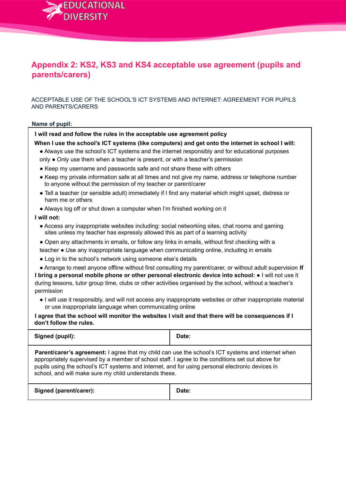

# **Appendix 2: KS2, KS3 and KS4 acceptable use agreement (pupils and parents/carers)**

ACCEPTABLE USE OF THE SCHOOL'S ICT SYSTEMS AND INTERNET: AGREEMENT FOR PUPILS AND PARENTS/CARERS

#### **Name of pupil:**

**I will read and follow the rules in the acceptable use agreement policy**

**When I use the school's ICT systems (like computers) and get onto the internet in school I will:**

- Always use the school's ICT systems and the internet responsibly and for educational purposes
- only Only use them when a teacher is present, or with a teacher's permission
- Keep my username and passwords safe and not share these with others
- Keep my private information safe at all times and not give my name, address or telephone number to anyone without the permission of my teacher or parent/carer
- Tell a teacher (or sensible adult) immediately if I find any material which might upset, distress or harm me or others
- Always log off or shut down a computer when I'm finished working on it

#### **I will not:**

- Access any inappropriate websites including: social networking sites, chat rooms and gaming sites unless my teacher has expressly allowed this as part of a learning activity
- Open any attachments in emails, or follow any links in emails, without first checking with a teacher ● Use any inappropriate language when communicating online, including in emails
- Log in to the school's network using someone else's details
- Arrange to meet anyone offline without first consulting my parent/carer, or without adult supervision **If I bring a personal mobile phone or other personal electronic device into school:** ● I will not use it during lessons, tutor group time, clubs or other activities organised by the school, without a teacher's permission
	- I will use it responsibly, and will not access any inappropriate websites or other inappropriate material or use inappropriate language when communicating online

I agree that the school will monitor the websites I visit and that there will be consequences if I **don't follow the rules.**

| Signed (pupil):                                                                                                                                                                                                                                                                                                                                                              | Date: |
|------------------------------------------------------------------------------------------------------------------------------------------------------------------------------------------------------------------------------------------------------------------------------------------------------------------------------------------------------------------------------|-------|
| <b>Parent/carer's agreement:</b> I agree that my child can use the school's ICT systems and internet when<br>appropriately supervised by a member of school staff. I agree to the conditions set out above for<br>pupils using the school's ICT systems and internet, and for using personal electronic devices in<br>school, and will make sure my child understands these. |       |
| Signed (parent/carer):                                                                                                                                                                                                                                                                                                                                                       | Date: |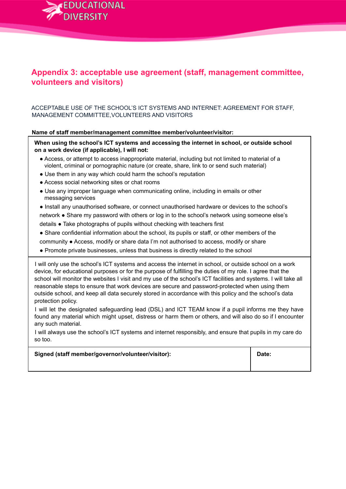

# **Appendix 3: acceptable use agreement (staff, management committee, volunteers and visitors)**

ACCEPTABLE USE OF THE SCHOOL'S ICT SYSTEMS AND INTERNET: AGREEMENT FOR STAFF, MANAGEMENT COMMITTEE,VOLUNTEERS AND VISITORS

#### **Name of staff member/management committee member/volunteer/visitor:**

**When using the school's ICT systems and accessing the internet in school, or outside school on a work device (if applicable), I will not:**

- Access, or attempt to access inappropriate material, including but not limited to material of a violent, criminal or pornographic nature (or create, share, link to or send such material)
- Use them in any way which could harm the school's reputation
- Access social networking sites or chat rooms
- Use any improper language when communicating online, including in emails or other messaging services
- Install any unauthorised software, or connect unauthorised hardware or devices to the school's
- network Share my password with others or log in to the school's network using someone else's
- details Take photographs of pupils without checking with teachers first
- Share confidential information about the school, its pupils or staff, or other members of the
- community Access, modify or share data I'm not authorised to access, modify or share
- Promote private businesses, unless that business is directly related to the school

I will only use the school's ICT systems and access the internet in school, or outside school on a work device, for educational purposes or for the purpose of fulfilling the duties of my role. I agree that the school will monitor the websites I visit and my use of the school's ICT facilities and systems. I will take all reasonable steps to ensure that work devices are secure and password-protected when using them outside school, and keep all data securely stored in accordance with this policy and the school's data protection policy.

I will let the designated safeguarding lead (DSL) and ICT TEAM know if a pupil informs me they have found any material which might upset, distress or harm them or others, and will also do so if I encounter any such material.

I will always use the school's ICT systems and internet responsibly, and ensure that pupils in my care do so too.

**Signed (staff member/governor/volunteer/visitor): Date:**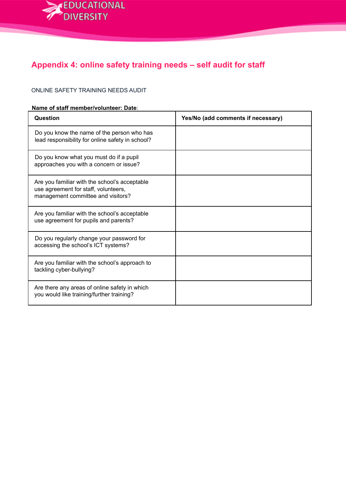

# **Appendix 4: online safety training needs – self audit for staff**

#### ONLINE SAFETY TRAINING NEEDS AUDIT

#### **Name of staff member/volunteer: Date**:

| Question                                                                                                                    | Yes/No (add comments if necessary) |
|-----------------------------------------------------------------------------------------------------------------------------|------------------------------------|
| Do you know the name of the person who has<br>lead responsibility for online safety in school?                              |                                    |
| Do you know what you must do if a pupil<br>approaches you with a concern or issue?                                          |                                    |
| Are you familiar with the school's acceptable<br>use agreement for staff, volunteers,<br>management committee and visitors? |                                    |
| Are you familiar with the school's acceptable<br>use agreement for pupils and parents?                                      |                                    |
| Do you regularly change your password for<br>accessing the school's ICT systems?                                            |                                    |
| Are you familiar with the school's approach to<br>tackling cyber-bullying?                                                  |                                    |
| Are there any areas of online safety in which<br>you would like training/further training?                                  |                                    |